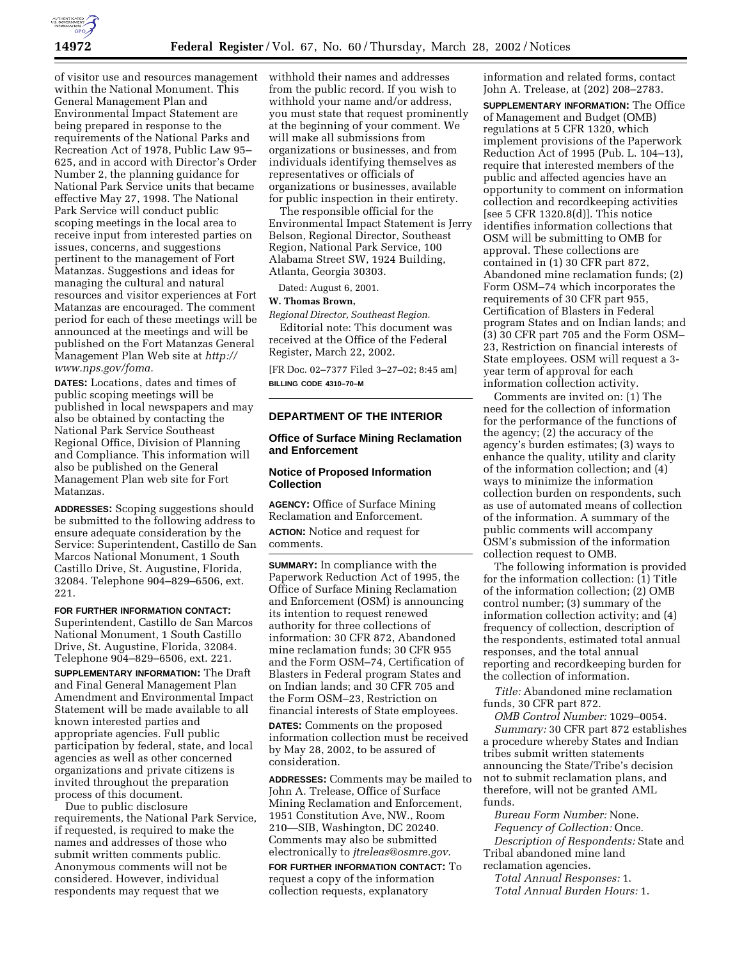

of visitor use and resources management within the National Monument. This General Management Plan and Environmental Impact Statement are being prepared in response to the requirements of the National Parks and Recreation Act of 1978, Public Law 95– 625, and in accord with Director's Order Number 2, the planning guidance for National Park Service units that became effective May 27, 1998. The National Park Service will conduct public scoping meetings in the local area to receive input from interested parties on issues, concerns, and suggestions pertinent to the management of Fort Matanzas. Suggestions and ideas for managing the cultural and natural resources and visitor experiences at Fort Matanzas are encouraged. The comment period for each of these meetings will be announced at the meetings and will be published on the Fort Matanzas General Management Plan Web site at *http:// www.nps.gov/foma.*

**DATES:** Locations, dates and times of public scoping meetings will be published in local newspapers and may also be obtained by contacting the National Park Service Southeast Regional Office, Division of Planning and Compliance. This information will also be published on the General Management Plan web site for Fort Matanzas.

**ADDRESSES:** Scoping suggestions should be submitted to the following address to ensure adequate consideration by the Service: Superintendent, Castillo de San Marcos National Monument, 1 South Castillo Drive, St. Augustine, Florida, 32084. Telephone 904–829–6506, ext. 221.

**FOR FURTHER INFORMATION CONTACT:** Superintendent, Castillo de San Marcos National Monument, 1 South Castillo Drive, St. Augustine, Florida, 32084. Telephone 904–829–6506, ext. 221.

**SUPPLEMENTARY INFORMATION:** The Draft and Final General Management Plan Amendment and Environmental Impact Statement will be made available to all known interested parties and appropriate agencies. Full public participation by federal, state, and local agencies as well as other concerned organizations and private citizens is invited throughout the preparation process of this document.

Due to public disclosure requirements, the National Park Service, if requested, is required to make the names and addresses of those who submit written comments public. Anonymous comments will not be considered. However, individual respondents may request that we

withhold their names and addresses from the public record. If you wish to withhold your name and/or address, you must state that request prominently at the beginning of your comment. We will make all submissions from organizations or businesses, and from individuals identifying themselves as representatives or officials of organizations or businesses, available for public inspection in their entirety.

The responsible official for the Environmental Impact Statement is Jerry Belson, Regional Director, Southeast Region, National Park Service, 100 Alabama Street SW, 1924 Building, Atlanta, Georgia 30303.

Dated: August 6, 2001.

### **W. Thomas Brown,**

*Regional Director, Southeast Region.* Editorial note: This document was received at the Office of the Federal Register, March 22, 2002.

[FR Doc. 02–7377 Filed 3–27–02; 8:45 am] **BILLING CODE 4310–70–M**

### **DEPARTMENT OF THE INTERIOR**

# **Office of Surface Mining Reclamation and Enforcement**

#### **Notice of Proposed Information Collection**

**AGENCY:** Office of Surface Mining Reclamation and Enforcement. **ACTION:** Notice and request for comments.

**SUMMARY:** In compliance with the Paperwork Reduction Act of 1995, the Office of Surface Mining Reclamation and Enforcement (OSM) is announcing its intention to request renewed authority for three collections of information: 30 CFR 872, Abandoned mine reclamation funds; 30 CFR 955 and the Form OSM–74, Certification of Blasters in Federal program States and on Indian lands; and 30 CFR 705 and the Form OSM–23, Restriction on financial interests of State employees.

**DATES:** Comments on the proposed information collection must be received by May 28, 2002, to be assured of consideration.

**ADDRESSES:** Comments may be mailed to John A. Trelease, Office of Surface Mining Reclamation and Enforcement, 1951 Constitution Ave, NW., Room 210—SIB, Washington, DC 20240. Comments may also be submitted electronically to *jtreleas@osmre.gov.*

**FOR FURTHER INFORMATION CONTACT:** To request a copy of the information collection requests, explanatory

information and related forms, contact John A. Trelease, at (202) 208–2783.

**SUPPLEMENTARY INFORMATION:** The Office of Management and Budget (OMB) regulations at 5 CFR 1320, which implement provisions of the Paperwork Reduction Act of 1995 (Pub. L. 104–13), require that interested members of the public and affected agencies have an opportunity to comment on information collection and recordkeeping activities [see 5 CFR 1320.8(d)]. This notice identifies information collections that OSM will be submitting to OMB for approval. These collections are contained in (1) 30 CFR part 872, Abandoned mine reclamation funds; (2) Form OSM–74 which incorporates the requirements of 30 CFR part 955, Certification of Blasters in Federal program States and on Indian lands; and (3) 30 CFR part 705 and the Form OSM– 23, Restriction on financial interests of State employees. OSM will request a 3 year term of approval for each information collection activity.

Comments are invited on: (1) The need for the collection of information for the performance of the functions of the agency; (2) the accuracy of the agency's burden estimates; (3) ways to enhance the quality, utility and clarity of the information collection; and (4) ways to minimize the information collection burden on respondents, such as use of automated means of collection of the information. A summary of the public comments will accompany OSM's submission of the information collection request to OMB.

The following information is provided for the information collection:  $(1)$  Title of the information collection; (2) OMB control number; (3) summary of the information collection activity; and (4) frequency of collection, description of the respondents, estimated total annual responses, and the total annual reporting and recordkeeping burden for the collection of information.

*Title:* Abandoned mine reclamation funds, 30 CFR part 872.

*OMB Control Number:* 1029–0054. *Summary:* 30 CFR part 872 establishes a procedure whereby States and Indian tribes submit written statements announcing the State/Tribe's decision not to submit reclamation plans, and therefore, will not be granted AML funds.

*Bureau Form Number:* None. *Fequency of Collection:* Once. *Description of Respondents:* State and Tribal abandoned mine land reclamation agencies.

*Total Annual Responses:* 1. *Total Annual Burden Hours:* 1.